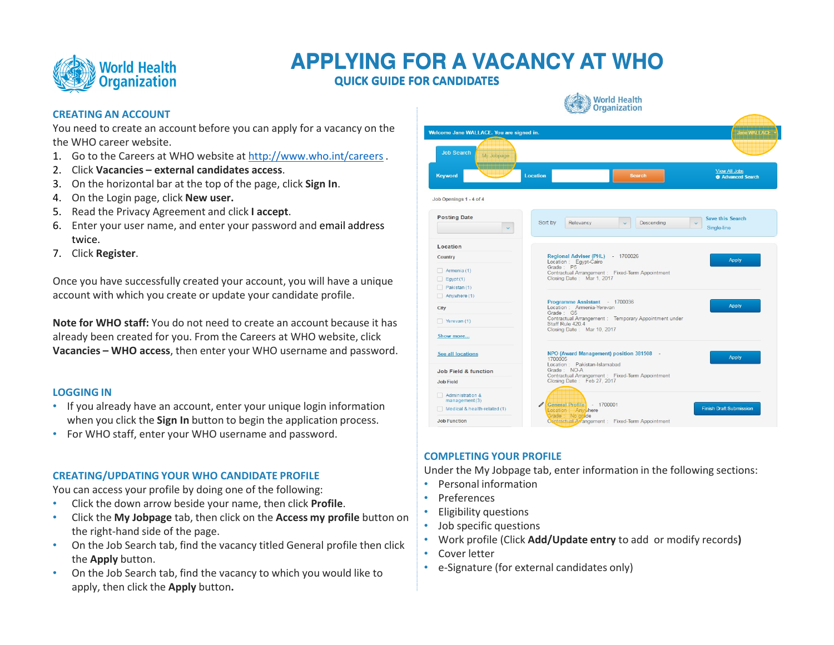

# **APPLYING FOR A VACANCY AT WHOAPPLYING FOR A VACANCY AT WHO**

QUICK GUIDE FOR CANDIDATES

# CREATING AN ACCOUNT

 You need to create an account before you can apply for a vacancy on the the WHO career website.

- 1. Go to the Careers at WHO website at <u>http://www.who.int/careers</u>.
- 2. Click Vacancies external candidates access.
- 3. On the horizontal bar at the top of the page, click **Sign In**.
- 4. On the Login page, click **New user.**
- 5. Read the Privacy Agreement and click **I accept**.
- 6. Enter your user name, and enter your password and email address twice.
- 7. Click **Register**.

Once you have successfully created your account, you will have a unique account with which you create or update your candidate profile.

Note for WHO staff: You do not need to create an account because it has already been created for you. From the Careers at WHO website, click Vacancies – WHO access, then enter your WHO username and password.

# LOGGING IN

- If you already have an account, enter your unique login information when you click the **Sign In** button to begin the application process.
- For WHO staff, enter your WHO username and password.

# CREATING/UPDATING YOUR WHO CANDIDATE PROFILE

You can access your profile by doing one of the following:

- •Click the down arrow beside your name, then click Profile.
- • Click the My Jobpage tab, then click on the Access my profile button on the right-hand side of the page.
- On the Job Search tab, find the vacancy titled General profile then click •the Apply button.
- On the Job Search tab, find the vacancy to which you would like to •apply, then click the **Apply** button**.**

|                                          | $\frac{1}{2}$ organization                                                                                           |                                                       |
|------------------------------------------|----------------------------------------------------------------------------------------------------------------------|-------------------------------------------------------|
| Welcome Jane WALLACE. You are signed in. |                                                                                                                      | Jane WALLACE                                          |
| <b>Job Search</b><br>My Jobpage          |                                                                                                                      |                                                       |
| Keyword                                  | <b>Location</b><br>Search                                                                                            | <b>View All Jobs</b><br><b>C</b> Advanced Search      |
| Job Openings 1 - 4 of 4                  |                                                                                                                      |                                                       |
| <b>Posting Date</b>                      | Sort by<br>Descending<br>Relevancy                                                                                   | <b>Save this Search</b><br>$\ddotmark$<br>Single-line |
| Location                                 |                                                                                                                      |                                                       |
| Country                                  | Regional Adviser (PHL) - 1700026<br>Location : Egypt-Cairo                                                           | <b>Apply</b>                                          |
| Armenia (1)                              | Grade: P5<br>Contractual Arrangement : Fixed-Term Appointment                                                        |                                                       |
| Eqypt(1)<br>Pakistan (1)                 | Closing Date: Mar 1, 2017                                                                                            |                                                       |
| Anywhere (1)                             |                                                                                                                      |                                                       |
| City                                     | Programme Assistant - 1700036<br>Location : Armenia-Yerevan                                                          | <b>Apply</b>                                          |
| Yerevan $(1)$                            | Grade: G5<br>Contractual Arrangement : Temporary Appointment under<br>Staff Rule 420.4<br>Closing Date: Mar 10, 2017 |                                                       |
| Show more                                |                                                                                                                      |                                                       |
| See all locations                        | NPO (Award Management) position 381508 -<br>1700005                                                                  | <b>Apply</b>                                          |
| Job Field & function                     | Location : Pakistan-Islamabad<br>Grade: NO-A                                                                         |                                                       |
| <b>Job Field</b>                         | Contractual Arrangement : Fixed-Term Appointment<br>Closing Date: Feb 27, 2017                                       |                                                       |
| Administration &<br>management (3)       |                                                                                                                      |                                                       |
| Medical & health-related $(1)$           | General Profile   1700001<br>location   Any here                                                                     | <b>Finish Draft Submission</b>                        |
| <b>Job Function</b>                      | Grade No grade<br>Contractual Avangement : Fixed-Term Appointment                                                    |                                                       |

# COMPLETING YOUR PROFILE

Under the My Jobpage tab, enter information in the following sections:

- Personal information
- Preferences
- Eligibility questions •
- Job specific questions
- Work profile (Click Add/Update entry to add or modify records)
- Cover letter
- e-Signature (for external candidates only)